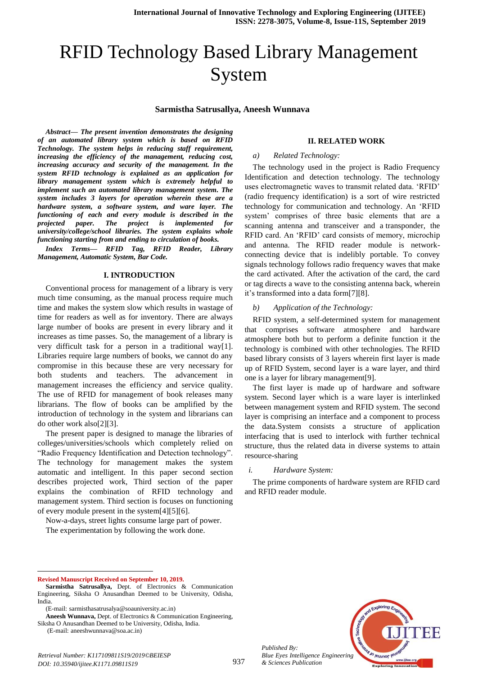# RFID Technology Based Library Management System

## **Sarmistha Satrusallya, Aneesh Wunnava**

*Abstract— The present invention demonstrates the designing of an automated library system which is based on RFID Technology. The system helps in reducing staff requirement, increasing the efficiency of the management, reducing cost, increasing accuracy and security of the management. In the system RFID technology is explained as an application for library management system which is extremely helpful to implement such an automated library management system. The system includes 3 layers for operation wherein these are a hardware system, a software system, and ware layer. The functioning of each and every module is described in the paper.* The project is implemented for *university/college/school libraries. The system explains whole functioning starting from and ending to circulation of books.*

*Index Terms— RFID Tag, RFID Reader, Library Management, Automatic System, Bar Code.*

#### **I. INTRODUCTION**

Conventional process for management of a library is very much time consuming, as the manual process require much time and makes the system slow which results in wastage of time for readers as well as for inventory. There are always large number of books are present in every library and it increases as time passes. So, the management of a library is very difficult task for a person in a traditional way[1]. Libraries require large numbers of books, we cannot do any compromise in this because these are very necessary for both students and teachers. The advancement in management increases the efficiency and service quality. The use of RFID for management of book releases many librarians. The flow of books can be amplified by the introduction of technology in the system and librarians can do other work also[2][3].

The present paper is designed to manage the libraries of colleges/universities/schools which completely relied on "Radio Frequency Identification and Detection technology". The technology for management makes the system automatic and intelligent. In this paper second section describes projected work, Third section of the paper explains the combination of RFID technology and management system. Third section is focuses on functioning of every module present in the system[4][5][6].

Now-a-days, street lights consume large part of power. The experimentation by following the work done.

#### **II. RELATED WORK**

#### *a) Related Technology:*

The technology used in the project is Radio Frequency Identification and detection technology. The technology uses electromagnetic waves to transmit related data. 'RFID' (radio frequency identification) is a sort of wire restricted technology for communication and technology. An 'RFID system' comprises of three basic elements that are a scanning antenna and transceiver and a [transponder,](https://internetofthingsagenda.techtarget.com/definition/transponder) the RFID card. An 'RFID' card consists of memory, microchip and antenna. The RFID reader module is networkconnecting device that is indelibly portable. To convey signals technology follows radio frequency waves that make the card activated. After the activation of the card, the card or tag directs a wave to the consisting antenna back, wherein it's transformed into a data form[7][8].

#### *b) Application of the Technology:*

RFID system, a self-determined system for management that comprises software atmosphere and hardware atmosphere both but to perform a definite function it the technology is combined with other technologies. The RFID based library consists of 3 layers wherein first layer is made up of RFID System, second layer is a ware layer, and third one is a layer for library management[9].

The first layer is made up of hardware and software system. Second layer which is a ware layer is interlinked between management system and RFID system. The second layer is comprising an interface and a component to process the data.System consists a structure of application interfacing that is used to interlock with further technical structure, thus the related data in diverse systems to attain resource-sharing

### *i. Hardware System:*

The prime components of hardware system are RFID card and RFID reader module.

 $\overline{a}$ 

*Published By:*



**Revised Manuscript Received on September 10, 2019.**

**Sarmistha Satrusallya,** Dept. of Electronics & Communication Engineering, Siksha O Anusandhan Deemed to be University, Odisha, India.

<sup>(</sup>E-mail: sarmisthasatrusalya@soauniversity.ac.in)

**Aneesh Wunnava,** Dept. of Electronics & Communication Engineering, Siksha O Anusandhan Deemed to be University, Odisha, India.

<sup>(</sup>E-mail: aneeshwunnava@soa.ac.in)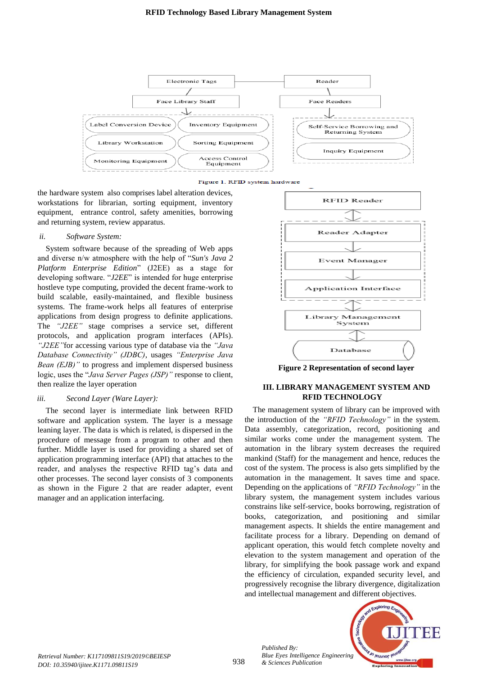

Figure 1. RFID system hardware

the hardware system also comprises label alteration devices, workstations for librarian, sorting equipment, inventory equipment, entrance control, safety amenities, borrowing and returning system, review apparatus.

# *ii. Software System:*

System software because of the spreading of Web apps and diverse n/w atmosphere with the help of "*Sun's Java 2 Platform Enterprise Edition*" (J2EE) as a stage for developing software. "*J2EE*" is intended for huge enterprise hostleve type computing, provided the decent frame-work to build scalable, easily-maintained, and flexible business systems. The frame-work helps all features of enterprise applications from design progress to definite applications. The *"J2EE"* stage comprises a service set, different protocols, and application program interfaces (APIs). *"J2EE"*for accessing various type of database via the *"Java Database Connectivity" (JDBC)*, usages *"Enterprise Java Bean (EJB)*" to progress and implement dispersed business logic, uses the "*Java Server Pages (JSP)"* response to client, then realize the layer operation

# *iii. Second Layer (Ware Layer):*

The second layer is intermediate link between RFID software and application system. The layer is a message leaning layer. The data is which is related, is dispersed in the procedure of message from a program to other and then further. Middle layer is used for providing a shared set of application programming interface (API) that attaches to the reader, and analyses the respective RFID tag's data and other processes. The second layer consists of 3 components as shown in the Figure 2 that are reader adapter, event manager and an application interfacing.



**Figure 2 Representation of second layer**

# **III. LIBRARY MANAGEMENT SYSTEM AND RFID TECHNOLOGY**

The management system of library can be improved with the introduction of the *"RFID Technology"* in the system. Data assembly, categorization, record, positioning and similar works come under the management system. The automation in the library system decreases the required mankind (Staff) for the management and hence, reduces the cost of the system. The process is also gets simplified by the automation in the management. It saves time and space. Depending on the applications of *"RFID Technology"* in the library system, the management system includes various constrains like self-service, books borrowing, registration of books, categorization, and positioning and similar management aspects. It shields the entire management and facilitate process for a library. Depending on demand of applicant operation, this would fetch complete novelty and elevation to the system management and operation of the library, for simplifying the book passage work and expand the efficiency of circulation, expanded security level, and progressively recognise the library divergence, digitalization and intellectual management and different objectives.



*Published By:*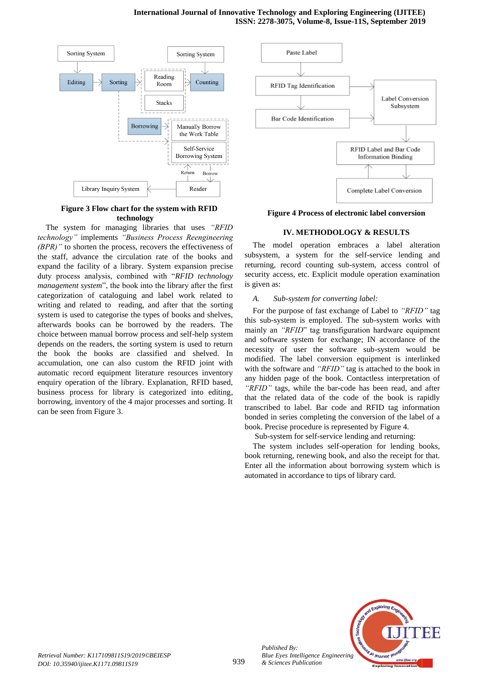

# **Figure 3 Flow chart for the system with RFID technology**

The system for managing libraries that uses *"RFID technology"* implements *"Business Process Reengineering (BPR)"* to shorten the process, recovers the effectiveness of the staff, advance the circulation rate of the books and expand the facility of a library. System expansion precise duty process analysis, combined with "*RFID technology management system*", the book into the library after the first categorization of cataloguing and label work related to writing and related to reading, and after that the sorting system is used to categorise the types of books and shelves, afterwards books can be borrowed by the readers. The choice between manual borrow process and self-help system depends on the readers, the sorting system is used to return the book the books are classified and shelved. In accumulation, one can also custom the RFID joint with automatic record equipment literature resources inventory enquiry operation of the library. Explanation, RFID based, business process for library is categorized into editing, borrowing, inventory of the 4 major processes and sorting. It can be seen from Figure 3.



**Figure 4 Process of electronic label conversion**

# **IV. METHODOLOGY & RESULTS**

The model operation embraces a label alteration subsystem, a system for the self-service lending and returning, record counting sub-system, access control of security access, etc. Explicit module operation examination is given as:

# *A. Sub-system for converting label:*

For the purpose of fast exchange of Label to *"RFID"* tag this sub-system is employed. The sub-system works with mainly an *"RFID*" tag transfiguration hardware equipment and software system for exchange; IN accordance of the necessity of user the software sub-system would be modified. The label conversion equipment is interlinked with the software and *"RFID"* tag is attached to the book in any hidden page of the book. Contactless interpretation of *"RFID"* tags, while the bar-code has been read, and after that the related data of the code of the book is rapidly transcribed to label. Bar code and RFID tag information bonded in series completing the conversion of the label of a book. Precise procedure is represented by Figure 4.

Sub-system for self-service lending and returning:

The system includes self-operation for lending books, book returning, renewing book, and also the receipt for that. Enter all the information about borrowing system which is automated in accordance to tips of library card.



*Published By:*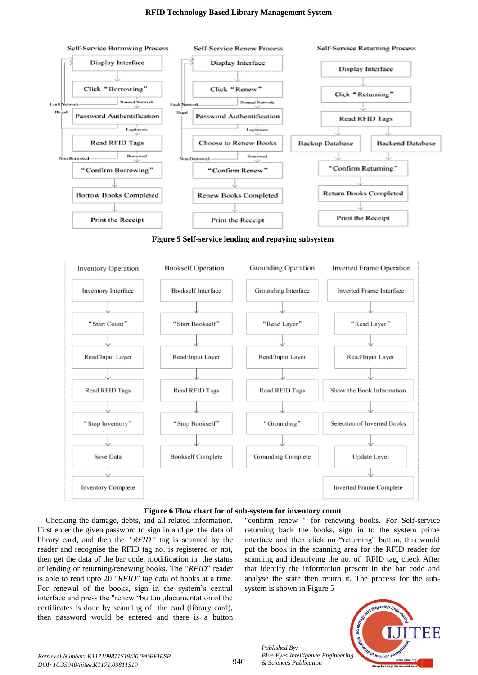

**Figure 5 Self-service lending and repaying subsystem**





Checking the damage, debts, and all related information. First enter the given password to sign in and get the data of library card, and then the *"RFID"* tag is scanned by the reader and recognise the RFID tag no. is registered or not, then get the data of the bar code, modification in the status of lending or returning/renewing books. The "*RFID*" reader is able to read upto 20 "*RFID*" tag data of books at a time. For renewal of the books, sign in the system's central interface and press the "renew "button ,documentation of the certificates is done by scanning of the card (library card), then password would be entered and there is a button

"confirm renew " for renewing books. For Self-service returning back the books, sign in to the system prime interface and then click on "returning" button, this would put the book in the scanning area for the RFID reader for scanning and identifying the no. of RFID tag, check After that identify the information present in the bar code and analyse the state then return it. The process for the subsystem is shown in Figure 5



*Published By:*